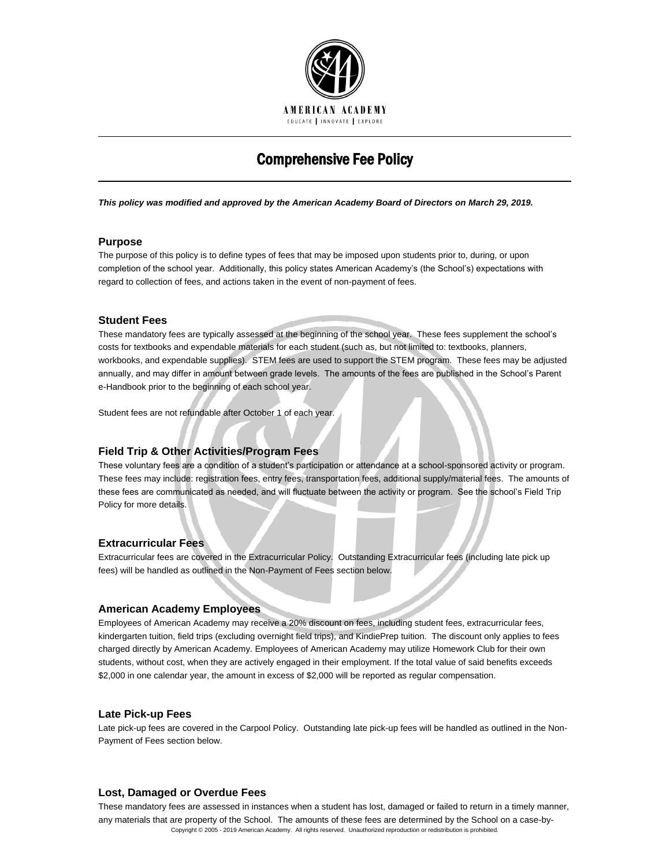

# Comprehensive Fee Policy

*This policy was modified and approved by the American Academy Board of Directors on March 29, 2019.*

## **Purpose**

The purpose of this policy is to define types of fees that may be imposed upon students prior to, during, or upon completion of the school year. Additionally, this policy states American Academy's (the School's) expectations with regard to collection of fees, and actions taken in the event of non-payment of fees.

## **Student Fees**

These mandatory fees are typically assessed at the beginning of the school year. These fees supplement the school's costs for textbooks and expendable materials for each student (such as, but not limited to: textbooks, planners, workbooks, and expendable supplies). STEM fees are used to support the STEM program. These fees may be adjusted annually, and may differ in amount between grade levels. The amounts of the fees are published in the School's Parent e-Handbook prior to the beginning of each school year.

Student fees are not refundable after October 1 of each year.

## **Field Trip & Other Activities/Program Fees**

These voluntary fees are a condition of a student's participation or attendance at a school-sponsored activity or program. These fees may include: registration fees, entry fees, transportation fees, additional supply/material fees. The amounts of these fees are communicated as needed, and will fluctuate between the activity or program. See the school's Field Trip Policy for more details.

## **Extracurricular Fees**

Extracurricular fees are covered in the Extracurricular Policy. Outstanding Extracurricular fees (including late pick up fees) will be handled as outlined in the Non-Payment of Fees section below.

## **American Academy Employees**

Employees of American Academy may receive a 20% discount on fees, including student fees, extracurricular fees, kindergarten tuition, field trips (excluding overnight field trips), and KindiePrep tuition. The discount only applies to fees charged directly by American Academy. Employees of American Academy may utilize Homework Club for their own students, without cost, when they are actively engaged in their employment. If the total value of said benefits exceeds \$2,000 in one calendar year, the amount in excess of \$2,000 will be reported as regular compensation.

## **Late Pick-up Fees**

Late pick-up fees are covered in the Carpool Policy. Outstanding late pick-up fees will be handled as outlined in the Non-Payment of Fees section below.

## **Lost, Damaged or Overdue Fees**

Copyright © 2005 - 2019 American Academy. All rights reserved. Unauthorized reproduction or redistribution is prohibited. These mandatory fees are assessed in instances when a student has lost, damaged or failed to return in a timely manner, any materials that are property of the School. The amounts of these fees are determined by the School on a case-by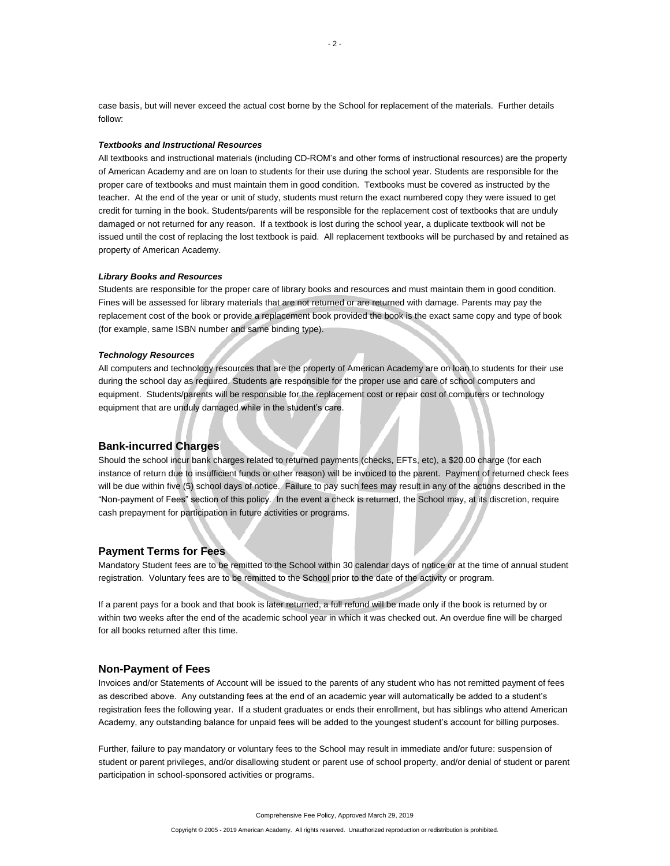case basis, but will never exceed the actual cost borne by the School for replacement of the materials. Further details follow:

## *Textbooks and Instructional Resources*

All textbooks and instructional materials (including CD-ROM's and other forms of instructional resources) are the property of American Academy and are on loan to students for their use during the school year. Students are responsible for the proper care of textbooks and must maintain them in good condition. Textbooks must be covered as instructed by the teacher. At the end of the year or unit of study, students must return the exact numbered copy they were issued to get credit for turning in the book. Students/parents will be responsible for the replacement cost of textbooks that are unduly damaged or not returned for any reason. If a textbook is lost during the school year, a duplicate textbook will not be issued until the cost of replacing the lost textbook is paid. All replacement textbooks will be purchased by and retained as property of American Academy.

#### *Library Books and Resources*

Students are responsible for the proper care of library books and resources and must maintain them in good condition. Fines will be assessed for library materials that are not returned or are returned with damage. Parents may pay the replacement cost of the book or provide a replacement book provided the book is the exact same copy and type of book (for example, same ISBN number and same binding type).

#### *Technology Resources*

All computers and technology resources that are the property of American Academy are on loan to students for their use during the school day as required. Students are responsible for the proper use and care of school computers and equipment. Students/parents will be responsible for the replacement cost or repair cost of computers or technology equipment that are unduly damaged while in the student's care.

## **Bank-incurred Charges**

Should the school incur bank charges related to returned payments (checks, EFTs, etc), a \$20.00 charge (for each instance of return due to insufficient funds or other reason) will be invoiced to the parent. Payment of returned check fees will be due within five (5) school days of notice. Failure to pay such fees may result in any of the actions described in the "Non-payment of Fees" section of this policy. In the event a check is returned, the School may, at its discretion, require cash prepayment for participation in future activities or programs.

## **Payment Terms for Fees**

Mandatory Student fees are to be remitted to the School within 30 calendar days of notice or at the time of annual student registration. Voluntary fees are to be remitted to the School prior to the date of the activity or program.

If a parent pays for a book and that book is later returned, a full refund will be made only if the book is returned by or within two weeks after the end of the academic school year in which it was checked out. An overdue fine will be charged for all books returned after this time.

#### **Non-Payment of Fees**

Invoices and/or Statements of Account will be issued to the parents of any student who has not remitted payment of fees as described above. Any outstanding fees at the end of an academic year will automatically be added to a student's registration fees the following year. If a student graduates or ends their enrollment, but has siblings who attend American Academy, any outstanding balance for unpaid fees will be added to the youngest student's account for billing purposes.

Further, failure to pay mandatory or voluntary fees to the School may result in immediate and/or future: suspension of student or parent privileges, and/or disallowing student or parent use of school property, and/or denial of student or parent participation in school-sponsored activities or programs.

Comprehensive Fee Policy, Approved March 29, 2019